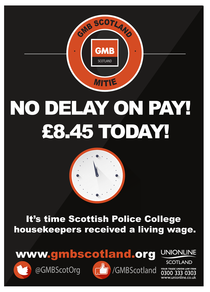

## NO DELAY ON PAY! £8.45 TODAY!

## It's time Scottish Police College housekeepers received a living wage.





**UNIONLINE** 

**SCOTLAND** YOUR TRADE UNION LAW FIRM 0300 333 0303 www.unionline.co.uk